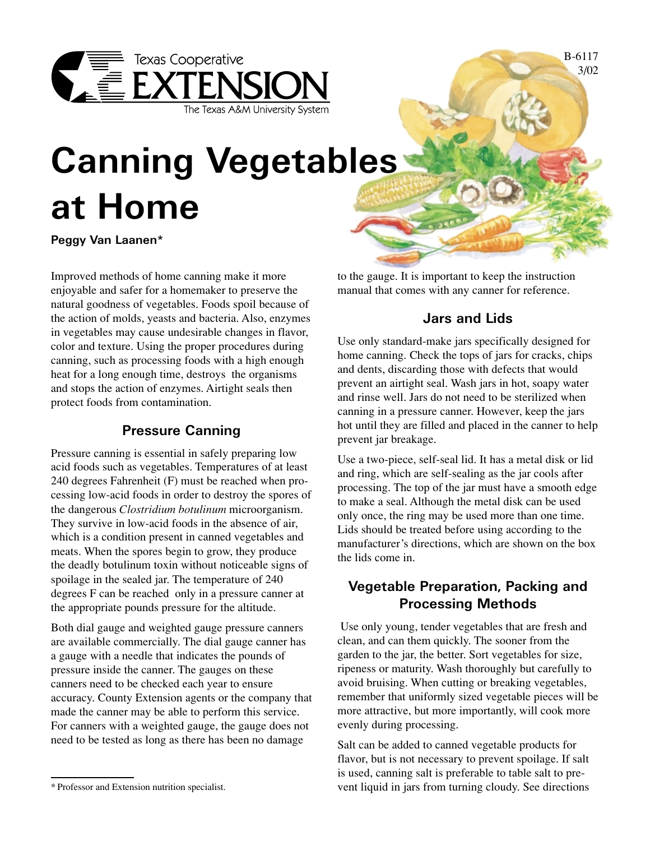

B-6117 3/02

# **Canning Vegetables at Home**

**Peggy Van Laanen\***

Improved methods of home canning make it more enjoyable and safer for a homemaker to preserve the natural goodness of vegetables. Foods spoil because of the action of molds, yeasts and bacteria. Also, enzymes in vegetables may cause undesirable changes in flavor, color and texture. Using the proper procedures during canning, such as processing foods with a high enough heat for a long enough time, destroys the organisms and stops the action of enzymes. Airtight seals then protect foods from contamination.

# **Pressure Canning**

Pressure canning is essential in safely preparing low acid foods such as vegetables. Temperatures of at least 240 degrees Fahrenheit (F) must be reached when processing low-acid foods in order to destroy the spores of the dangerous *Clostridium botulinum* microorganism. They survive in low-acid foods in the absence of air, which is a condition present in canned vegetables and meats. When the spores begin to grow, they produce the deadly botulinum toxin without noticeable signs of spoilage in the sealed jar. The temperature of 240 degrees F can be reached only in a pressure canner at the appropriate pounds pressure for the altitude.

Both dial gauge and weighted gauge pressure canners are available commercially. The dial gauge canner has a gauge with a needle that indicates the pounds of pressure inside the canner. The gauges on these canners need to be checked each year to ensure accuracy. County Extension agents or the company that made the canner may be able to perform this service. For canners with a weighted gauge, the gauge does not need to be tested as long as there has been no damage

to the gauge. It is important to keep the instruction manual that comes with any canner for reference.

# **Jars and Lids**

Use only standard-make jars specifically designed for home canning. Check the tops of jars for cracks, chips and dents, discarding those with defects that would prevent an airtight seal. Wash jars in hot, soapy water and rinse well. Jars do not need to be sterilized when canning in a pressure canner. However, keep the jars hot until they are filled and placed in the canner to help prevent jar breakage.

Use a two-piece, self-seal lid. It has a metal disk or lid and ring, which are self-sealing as the jar cools after processing. The top of the jar must have a smooth edge to make a seal. Although the metal disk can be used only once, the ring may be used more than one time. Lids should be treated before using according to the manufacturer's directions, which are shown on the box the lids come in.

# **Vegetable Preparation, Packing and Processing Methods**

 Use only young, tender vegetables that are fresh and clean, and can them quickly. The sooner from the garden to the jar, the better. Sort vegetables for size, ripeness or maturity. Wash thoroughly but carefully to avoid bruising. When cutting or breaking vegetables, remember that uniformly sized vegetable pieces will be more attractive, but more importantly, will cook more evenly during processing.

Salt can be added to canned vegetable products for flavor, but is not necessary to prevent spoilage. If salt is used, canning salt is preferable to table salt to prevent liquid in jars from turning cloudy. See directions

<sup>\*</sup> Professor and Extension nutrition specialist.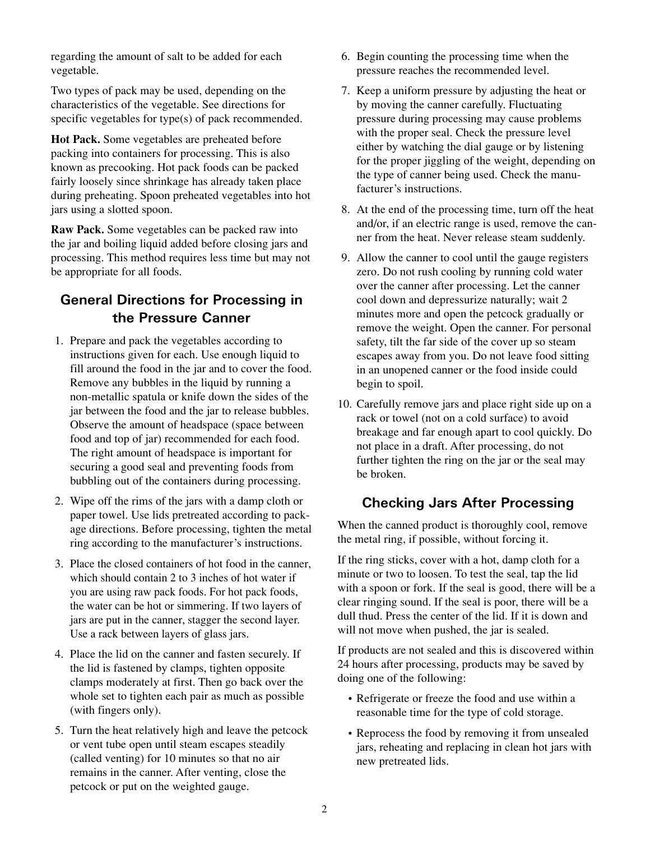regarding the amount of salt to be added for each vegetable.

Two types of pack may be used, depending on the characteristics of the vegetable. See directions for specific vegetables for type(s) of pack recommended.

**Hot Pack.** Some vegetables are preheated before packing into containers for processing. This is also known as precooking. Hot pack foods can be packed fairly loosely since shrinkage has already taken place during preheating. Spoon preheated vegetables into hot jars using a slotted spoon.

**Raw Pack.** Some vegetables can be packed raw into the jar and boiling liquid added before closing jars and processing. This method requires less time but may not be appropriate for all foods.

# **General Directions for Processing in the Pressure Canner**

- 1. Prepare and pack the vegetables according to instructions given for each. Use enough liquid to fill around the food in the jar and to cover the food. Remove any bubbles in the liquid by running a non-metallic spatula or knife down the sides of the jar between the food and the jar to release bubbles. Observe the amount of headspace (space between food and top of jar) recommended for each food. The right amount of headspace is important for securing a good seal and preventing foods from bubbling out of the containers during processing.
- 2. Wipe off the rims of the jars with a damp cloth or paper towel. Use lids pretreated according to package directions. Before processing, tighten the metal ring according to the manufacturer's instructions.
- 3. Place the closed containers of hot food in the canner, which should contain 2 to 3 inches of hot water if you are using raw pack foods. For hot pack foods, the water can be hot or simmering. If two layers of jars are put in the canner, stagger the second layer. Use a rack between layers of glass jars.
- 4. Place the lid on the canner and fasten securely. If the lid is fastened by clamps, tighten opposite clamps moderately at first. Then go back over the whole set to tighten each pair as much as possible (with fingers only).
- 5. Turn the heat relatively high and leave the petcock or vent tube open until steam escapes steadily (called venting) for 10 minutes so that no air remains in the canner. After venting, close the petcock or put on the weighted gauge.
- 6. Begin counting the processing time when the pressure reaches the recommended level.
- 7. Keep a uniform pressure by adjusting the heat or by moving the canner carefully. Fluctuating pressure during processing may cause problems with the proper seal. Check the pressure level either by watching the dial gauge or by listening for the proper jiggling of the weight, depending on the type of canner being used. Check the manufacturer's instructions.
- 8. At the end of the processing time, turn off the heat and/or, if an electric range is used, remove the canner from the heat. Never release steam suddenly.
- 9. Allow the canner to cool until the gauge registers zero. Do not rush cooling by running cold water over the canner after processing. Let the canner cool down and depressurize naturally; wait 2 minutes more and open the petcock gradually or remove the weight. Open the canner. For personal safety, tilt the far side of the cover up so steam escapes away from you. Do not leave food sitting in an unopened canner or the food inside could begin to spoil.
- 10. Carefully remove jars and place right side up on a rack or towel (not on a cold surface) to avoid breakage and far enough apart to cool quickly. Do not place in a draft. After processing, do not further tighten the ring on the jar or the seal may be broken.

## **Checking Jars After Processing**

When the canned product is thoroughly cool, remove the metal ring, if possible, without forcing it.

If the ring sticks, cover with a hot, damp cloth for a minute or two to loosen. To test the seal, tap the lid with a spoon or fork. If the seal is good, there will be a clear ringing sound. If the seal is poor, there will be a dull thud. Press the center of the lid. If it is down and will not move when pushed, the jar is sealed.

If products are not sealed and this is discovered within 24 hours after processing, products may be saved by doing one of the following:

- Refrigerate or freeze the food and use within a reasonable time for the type of cold storage.
- Reprocess the food by removing it from unsealed jars, reheating and replacing in clean hot jars with new pretreated lids.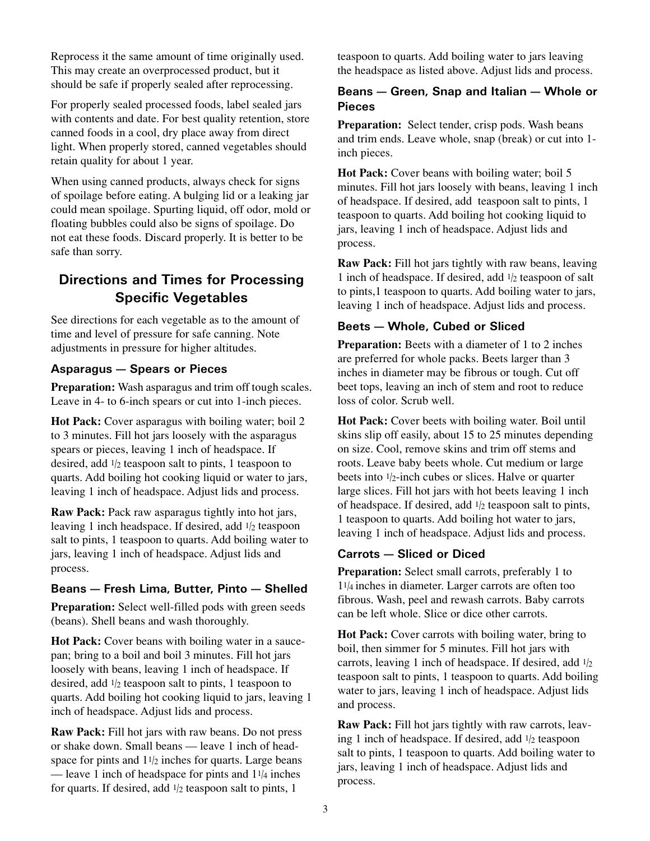Reprocess it the same amount of time originally used. This may create an overprocessed product, but it should be safe if properly sealed after reprocessing.

For properly sealed processed foods, label sealed jars with contents and date. For best quality retention, store canned foods in a cool, dry place away from direct light. When properly stored, canned vegetables should retain quality for about 1 year.

When using canned products, always check for signs of spoilage before eating. A bulging lid or a leaking jar could mean spoilage. Spurting liquid, off odor, mold or floating bubbles could also be signs of spoilage. Do not eat these foods. Discard properly. It is better to be safe than sorry.

# **Directions and Times for Processing Specific Vegetables**

See directions for each vegetable as to the amount of time and level of pressure for safe canning. Note adjustments in pressure for higher altitudes.

#### **Asparagus — Spears or Pieces**

**Preparation:** Wash asparagus and trim off tough scales. Leave in 4- to 6-inch spears or cut into 1-inch pieces.

**Hot Pack:** Cover asparagus with boiling water; boil 2 to 3 minutes. Fill hot jars loosely with the asparagus spears or pieces, leaving 1 inch of headspace. If desired, add 1/2 teaspoon salt to pints, 1 teaspoon to quarts. Add boiling hot cooking liquid or water to jars, leaving 1 inch of headspace. Adjust lids and process.

**Raw Pack:** Pack raw asparagus tightly into hot jars, leaving 1 inch headspace. If desired, add 1/2 teaspoon salt to pints, 1 teaspoon to quarts. Add boiling water to jars, leaving 1 inch of headspace. Adjust lids and process.

#### **Beans — Fresh Lima, Butter, Pinto — Shelled**

**Preparation:** Select well-filled pods with green seeds (beans). Shell beans and wash thoroughly.

**Hot Pack:** Cover beans with boiling water in a saucepan; bring to a boil and boil 3 minutes. Fill hot jars loosely with beans, leaving 1 inch of headspace. If desired, add 1/2 teaspoon salt to pints, 1 teaspoon to quarts. Add boiling hot cooking liquid to jars, leaving 1 inch of headspace. Adjust lids and process.

**Raw Pack:** Fill hot jars with raw beans. Do not press or shake down. Small beans — leave 1 inch of headspace for pints and  $11/2$  inches for quarts. Large beans — leave 1 inch of headspace for pints and  $11/4$  inches for quarts. If desired, add  $1/2$  teaspoon salt to pints, 1

teaspoon to quarts. Add boiling water to jars leaving the headspace as listed above. Adjust lids and process.

#### **Beans — Green, Snap and Italian — Whole or Pieces**

**Preparation:** Select tender, crisp pods. Wash beans and trim ends. Leave whole, snap (break) or cut into 1 inch pieces.

**Hot Pack:** Cover beans with boiling water; boil 5 minutes. Fill hot jars loosely with beans, leaving 1 inch of headspace. If desired, add teaspoon salt to pints, 1 teaspoon to quarts. Add boiling hot cooking liquid to jars, leaving 1 inch of headspace. Adjust lids and process.

**Raw Pack:** Fill hot jars tightly with raw beans, leaving 1 inch of headspace. If desired, add 1/2 teaspoon of salt to pints,1 teaspoon to quarts. Add boiling water to jars, leaving 1 inch of headspace. Adjust lids and process.

#### **Beets — Whole, Cubed or Sliced**

**Preparation:** Beets with a diameter of 1 to 2 inches are preferred for whole packs. Beets larger than 3 inches in diameter may be fibrous or tough. Cut off beet tops, leaving an inch of stem and root to reduce loss of color. Scrub well.

**Hot Pack:** Cover beets with boiling water. Boil until skins slip off easily, about 15 to 25 minutes depending on size. Cool, remove skins and trim off stems and roots. Leave baby beets whole. Cut medium or large beets into  $1/2$ -inch cubes or slices. Halve or quarter large slices. Fill hot jars with hot beets leaving 1 inch of headspace. If desired, add 1/2 teaspoon salt to pints, 1 teaspoon to quarts. Add boiling hot water to jars, leaving 1 inch of headspace. Adjust lids and process.

#### **Carrots — Sliced or Diced**

**Preparation:** Select small carrots, preferably 1 to 11/4 inches in diameter. Larger carrots are often too fibrous. Wash, peel and rewash carrots. Baby carrots can be left whole. Slice or dice other carrots.

**Hot Pack:** Cover carrots with boiling water, bring to boil, then simmer for 5 minutes. Fill hot jars with carrots, leaving 1 inch of headspace. If desired, add  $1/2$ teaspoon salt to pints, 1 teaspoon to quarts. Add boiling water to jars, leaving 1 inch of headspace. Adjust lids and process.

**Raw Pack:** Fill hot jars tightly with raw carrots, leaving 1 inch of headspace. If desired, add  $1/2$  teaspoon salt to pints, 1 teaspoon to quarts. Add boiling water to jars, leaving 1 inch of headspace. Adjust lids and process.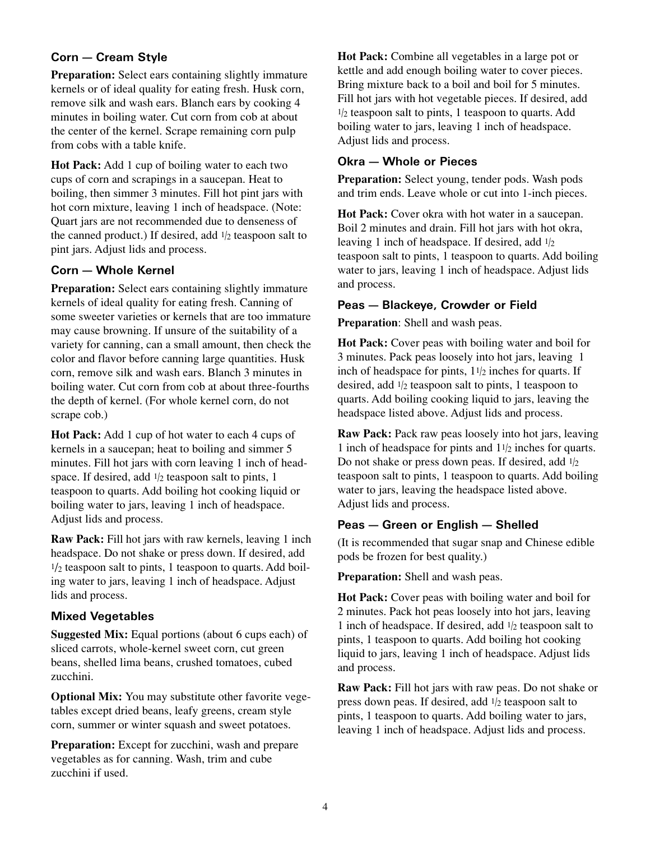#### **Corn — Cream Style**

**Preparation:** Select ears containing slightly immature kernels or of ideal quality for eating fresh. Husk corn, remove silk and wash ears. Blanch ears by cooking 4 minutes in boiling water. Cut corn from cob at about the center of the kernel. Scrape remaining corn pulp from cobs with a table knife.

**Hot Pack:** Add 1 cup of boiling water to each two cups of corn and scrapings in a saucepan. Heat to boiling, then simmer 3 minutes. Fill hot pint jars with hot corn mixture, leaving 1 inch of headspace. (Note: Quart jars are not recommended due to denseness of the canned product.) If desired, add  $1/2$  teaspoon salt to pint jars. Adjust lids and process.

#### **Corn — Whole Kernel**

**Preparation:** Select ears containing slightly immature kernels of ideal quality for eating fresh. Canning of some sweeter varieties or kernels that are too immature may cause browning. If unsure of the suitability of a variety for canning, can a small amount, then check the color and flavor before canning large quantities. Husk corn, remove silk and wash ears. Blanch 3 minutes in boiling water. Cut corn from cob at about three-fourths the depth of kernel. (For whole kernel corn, do not scrape cob.)

**Hot Pack:** Add 1 cup of hot water to each 4 cups of kernels in a saucepan; heat to boiling and simmer 5 minutes. Fill hot jars with corn leaving 1 inch of headspace. If desired, add  $1/2$  teaspoon salt to pints, 1 teaspoon to quarts. Add boiling hot cooking liquid or boiling water to jars, leaving 1 inch of headspace. Adjust lids and process.

**Raw Pack:** Fill hot jars with raw kernels, leaving 1 inch headspace. Do not shake or press down. If desired, add  $1/2$  teaspoon salt to pints, 1 teaspoon to quarts. Add boiling water to jars, leaving 1 inch of headspace. Adjust lids and process.

#### **Mixed Vegetables**

**Suggested Mix:** Equal portions (about 6 cups each) of sliced carrots, whole-kernel sweet corn, cut green beans, shelled lima beans, crushed tomatoes, cubed zucchini.

**Optional Mix:** You may substitute other favorite vegetables except dried beans, leafy greens, cream style corn, summer or winter squash and sweet potatoes.

**Preparation:** Except for zucchini, wash and prepare vegetables as for canning. Wash, trim and cube zucchini if used.

**Hot Pack:** Combine all vegetables in a large pot or kettle and add enough boiling water to cover pieces. Bring mixture back to a boil and boil for 5 minutes. Fill hot jars with hot vegetable pieces. If desired, add  $1/2$  teaspoon salt to pints, 1 teaspoon to quarts. Add boiling water to jars, leaving 1 inch of headspace. Adjust lids and process.

#### **Okra — Whole or Pieces**

**Preparation:** Select young, tender pods. Wash pods and trim ends. Leave whole or cut into 1-inch pieces.

**Hot Pack:** Cover okra with hot water in a saucepan. Boil 2 minutes and drain. Fill hot jars with hot okra, leaving 1 inch of headspace. If desired, add  $1/2$ teaspoon salt to pints, 1 teaspoon to quarts. Add boiling water to jars, leaving 1 inch of headspace. Adjust lids and process.

#### **Peas — Blackeye, Crowder or Field**

**Preparation**: Shell and wash peas.

**Hot Pack:** Cover peas with boiling water and boil for 3 minutes. Pack peas loosely into hot jars, leaving 1 inch of headspace for pints,  $11/2$  inches for quarts. If desired, add  $1/2$  teaspoon salt to pints, 1 teaspoon to quarts. Add boiling cooking liquid to jars, leaving the headspace listed above. Adjust lids and process.

**Raw Pack:** Pack raw peas loosely into hot jars, leaving 1 inch of headspace for pints and 11/2 inches for quarts. Do not shake or press down peas. If desired, add  $1/2$ teaspoon salt to pints, 1 teaspoon to quarts. Add boiling water to jars, leaving the headspace listed above. Adjust lids and process.

#### **Peas — Green or English — Shelled**

(It is recommended that sugar snap and Chinese edible pods be frozen for best quality.)

**Preparation:** Shell and wash peas.

**Hot Pack:** Cover peas with boiling water and boil for 2 minutes. Pack hot peas loosely into hot jars, leaving 1 inch of headspace. If desired, add  $1/2$  teaspoon salt to pints, 1 teaspoon to quarts. Add boiling hot cooking liquid to jars, leaving 1 inch of headspace. Adjust lids and process.

**Raw Pack:** Fill hot jars with raw peas. Do not shake or press down peas. If desired, add 1/2 teaspoon salt to pints, 1 teaspoon to quarts. Add boiling water to jars, leaving 1 inch of headspace. Adjust lids and process.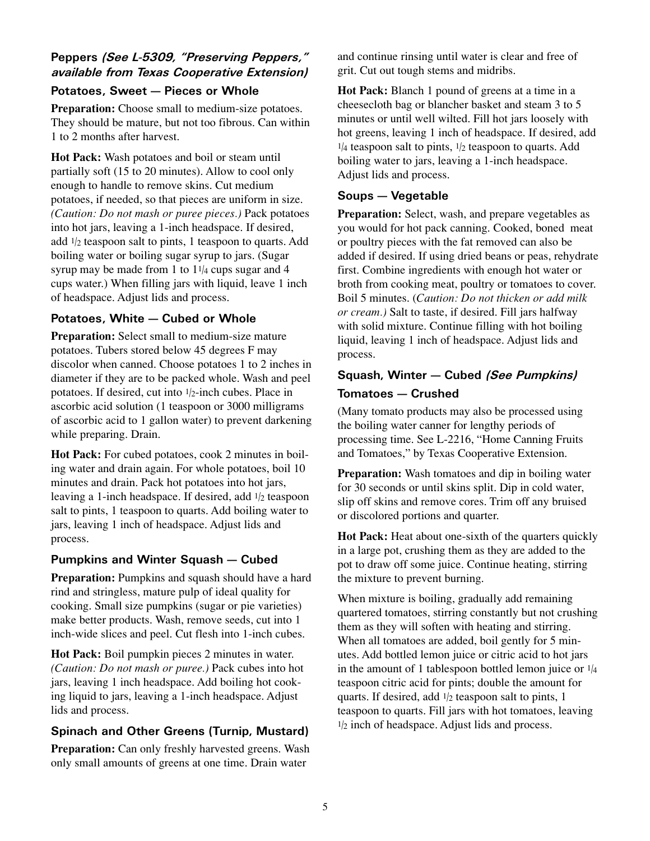### **Peppers** *(See L-5309, "Preserving Peppers," available from Texas Cooperative Extension)*

#### **Potatoes, Sweet — Pieces or Whole**

**Preparation:** Choose small to medium-size potatoes. They should be mature, but not too fibrous. Can within 1 to 2 months after harvest.

**Hot Pack:** Wash potatoes and boil or steam until partially soft (15 to 20 minutes). Allow to cool only enough to handle to remove skins. Cut medium potatoes, if needed, so that pieces are uniform in size. *(Caution: Do not mash or puree pieces.)* Pack potatoes into hot jars, leaving a 1-inch headspace. If desired, add 1/2 teaspoon salt to pints, 1 teaspoon to quarts. Add boiling water or boiling sugar syrup to jars. (Sugar syrup may be made from 1 to  $11/4$  cups sugar and 4 cups water.) When filling jars with liquid, leave 1 inch of headspace. Adjust lids and process.

#### **Potatoes, White — Cubed or Whole**

**Preparation:** Select small to medium-size mature potatoes. Tubers stored below 45 degrees F may discolor when canned. Choose potatoes 1 to 2 inches in diameter if they are to be packed whole. Wash and peel potatoes. If desired, cut into 1/2-inch cubes. Place in ascorbic acid solution (1 teaspoon or 3000 milligrams of ascorbic acid to 1 gallon water) to prevent darkening while preparing. Drain.

**Hot Pack:** For cubed potatoes, cook 2 minutes in boiling water and drain again. For whole potatoes, boil 10 minutes and drain. Pack hot potatoes into hot jars, leaving a 1-inch headspace. If desired, add  $1/2$  teaspoon salt to pints, 1 teaspoon to quarts. Add boiling water to jars, leaving 1 inch of headspace. Adjust lids and process.

#### **Pumpkins and Winter Squash — Cubed**

**Preparation:** Pumpkins and squash should have a hard rind and stringless, mature pulp of ideal quality for cooking. Small size pumpkins (sugar or pie varieties) make better products. Wash, remove seeds, cut into 1 inch-wide slices and peel. Cut flesh into 1-inch cubes.

**Hot Pack:** Boil pumpkin pieces 2 minutes in water. *(Caution: Do not mash or puree.)* Pack cubes into hot jars, leaving 1 inch headspace. Add boiling hot cooking liquid to jars, leaving a 1-inch headspace. Adjust lids and process.

#### **Spinach and Other Greens (Turnip, Mustard)**

**Preparation:** Can only freshly harvested greens. Wash only small amounts of greens at one time. Drain water

and continue rinsing until water is clear and free of grit. Cut out tough stems and midribs.

**Hot Pack:** Blanch 1 pound of greens at a time in a cheesecloth bag or blancher basket and steam 3 to 5 minutes or until well wilted. Fill hot jars loosely with hot greens, leaving 1 inch of headspace. If desired, add  $1/4$  teaspoon salt to pints,  $1/2$  teaspoon to quarts. Add boiling water to jars, leaving a 1-inch headspace. Adjust lids and process.

#### **Soups — Vegetable**

**Preparation:** Select, wash, and prepare vegetables as you would for hot pack canning. Cooked, boned meat or poultry pieces with the fat removed can also be added if desired. If using dried beans or peas, rehydrate first. Combine ingredients with enough hot water or broth from cooking meat, poultry or tomatoes to cover. Boil 5 minutes. (*Caution: Do not thicken or add milk or cream.)* Salt to taste, if desired. Fill jars halfway with solid mixture. Continue filling with hot boiling liquid, leaving 1 inch of headspace. Adjust lids and process.

# **Squash, Winter — Cubed** *(See Pumpkins)* **Tomatoes — Crushed**

(Many tomato products may also be processed using the boiling water canner for lengthy periods of processing time. See L-2216, "Home Canning Fruits and Tomatoes," by Texas Cooperative Extension.

**Preparation:** Wash tomatoes and dip in boiling water for 30 seconds or until skins split. Dip in cold water, slip off skins and remove cores. Trim off any bruised or discolored portions and quarter.

**Hot Pack:** Heat about one-sixth of the quarters quickly in a large pot, crushing them as they are added to the pot to draw off some juice. Continue heating, stirring the mixture to prevent burning.

When mixture is boiling, gradually add remaining quartered tomatoes, stirring constantly but not crushing them as they will soften with heating and stirring. When all tomatoes are added, boil gently for 5 minutes. Add bottled lemon juice or citric acid to hot jars in the amount of 1 tablespoon bottled lemon juice or  $1/4$ teaspoon citric acid for pints; double the amount for quarts. If desired, add  $1/2$  teaspoon salt to pints, 1 teaspoon to quarts. Fill jars with hot tomatoes, leaving 1/2 inch of headspace. Adjust lids and process.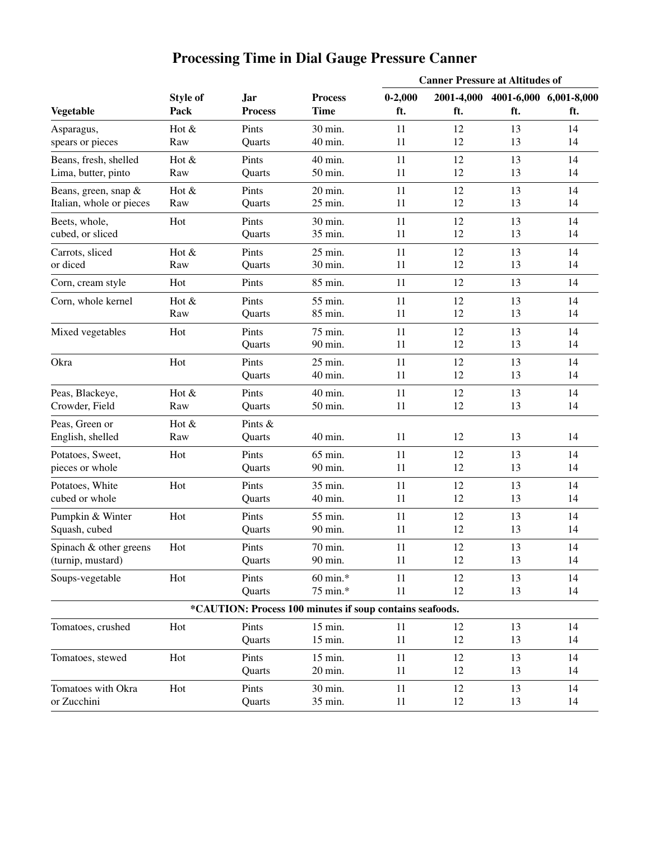| <b>Processing Time in Dial Gauge Pressure Canner</b> |  |  |  |
|------------------------------------------------------|--|--|--|
|                                                      |  |  |  |

|                                    | <b>Style of</b><br>Pack |                              |                                                          | <b>Canner Pressure at Altitudes of</b> |                   |          |                               |
|------------------------------------|-------------------------|------------------------------|----------------------------------------------------------|----------------------------------------|-------------------|----------|-------------------------------|
| <b>Vegetable</b>                   |                         | <b>Jar</b><br><b>Process</b> | <b>Process</b><br><b>Time</b>                            | $0 - 2,000$<br>ft.                     | 2001-4,000<br>ft. | ft.      | 4001-6,000 6,001-8,000<br>ft. |
| Asparagus,                         | Hot &                   | Pints                        | 30 min.                                                  | 11                                     | 12                | 13       | 14                            |
| spears or pieces                   | Raw                     | Quarts                       | 40 min.                                                  | 11                                     | 12                | 13       | 14                            |
| Beans, fresh, shelled              | Hot $&$                 | Pints                        | 40 min.                                                  | 11                                     | 12                | 13       | 14                            |
| Lima, butter, pinto                | Raw                     | Quarts                       | 50 min.                                                  | 11                                     | 12                | 13       | 14                            |
| Beans, green, snap &               | Hot &                   | Pints                        | 20 min.                                                  | 11                                     | 12                | 13       | 14                            |
| Italian, whole or pieces           | Raw                     | Quarts                       | 25 min.                                                  | 11                                     | 12                | 13       | 14                            |
| Beets, whole,                      | Hot                     | Pints                        | 30 min.                                                  | 11                                     | 12                | 13       | 14                            |
| cubed, or sliced                   |                         | Quarts                       | 35 min.                                                  | 11                                     | 12                | 13       | 14                            |
| Carrots, sliced                    | Hot $&$                 | Pints                        | 25 min.                                                  | 11                                     | 12                | 13       | 14                            |
| or diced                           | Raw                     | Quarts                       | 30 min.                                                  | 11                                     | 12                | 13       | 14                            |
| Corn, cream style                  | Hot                     | Pints                        | 85 min.                                                  | 11                                     | 12                | 13       | 14                            |
| Corn, whole kernel                 | Hot &                   | Pints                        | 55 min.                                                  | 11                                     | 12                | 13       | 14                            |
|                                    | Raw                     | Quarts                       | 85 min.                                                  | 11                                     | 12                | 13       | 14                            |
| Mixed vegetables                   | Hot                     | Pints<br>Quarts              | 75 min.<br>90 min.                                       | 11<br>11                               | 12<br>12          | 13<br>13 | 14<br>14                      |
| Okra                               | Hot                     | Pints<br>Quarts              | 25 min.<br>40 min.                                       | 11<br>11                               | 12<br>12          | 13<br>13 | 14<br>14                      |
| Peas, Blackeye,                    | Hot &                   | Pints                        | 40 min.                                                  | 11                                     | 12                | 13       | 14                            |
| Crowder, Field                     | Raw                     | Quarts                       | 50 min.                                                  | 11                                     | 12                | 13       | 14                            |
| Peas, Green or<br>English, shelled | Hot $&$<br>Raw          | Pints &<br>Quarts            | 40 min.                                                  | 11                                     | 12                | 13       | 14                            |
| Potatoes, Sweet,                   | Hot                     | Pints                        | 65 min.                                                  | 11                                     | 12                | 13       | 14                            |
| pieces or whole                    |                         | Quarts                       | 90 min.                                                  | 11                                     | 12                | 13       | 14                            |
| Potatoes, White                    | Hot                     | Pints                        | 35 min.                                                  | 11                                     | 12                | 13       | 14                            |
| cubed or whole                     |                         | Quarts                       | 40 min.                                                  | 11                                     | 12                | 13       | 14                            |
| Pumpkin & Winter                   | Hot                     | Pints                        | 55 min.                                                  | 11                                     | 12                | 13       | 14                            |
| Squash, cubed                      |                         | Quarts                       | 90 min.                                                  | 11                                     | 12                | 13       | 14                            |
| Spinach & other greens             | Hot                     | Pints                        | 70 min.                                                  | 11                                     | 12                | 13       | 14                            |
| (turnip, mustard)                  |                         | Quarts                       | 90 min.                                                  | 11                                     | 12                | 13       | 14                            |
| Soups-vegetable                    | Hot                     | Pints<br>Quarts              | 60 min.*<br>75 min.*                                     | 11<br>11                               | 12<br>12          | 13<br>13 | 14<br>14                      |
|                                    |                         |                              | *CAUTION: Process 100 minutes if soup contains seafoods. |                                        |                   |          |                               |
| Tomatoes, crushed                  | Hot                     | Pints<br>Quarts              | 15 min.<br>15 min.                                       | 11<br>11                               | 12<br>12          | 13<br>13 | 14<br>14                      |
| Tomatoes, stewed                   | Hot                     | Pints<br>Quarts              | 15 min.<br>20 min.                                       | 11<br>11                               | 12<br>12          | 13<br>13 | 14<br>14                      |
| Tomatoes with Okra                 | Hot                     | Pints                        | 30 min.                                                  | 11                                     | 12                | 13       | 14                            |
| or Zucchini                        |                         | Quarts                       | 35 min.                                                  | 11                                     | 12                | 13       | 14                            |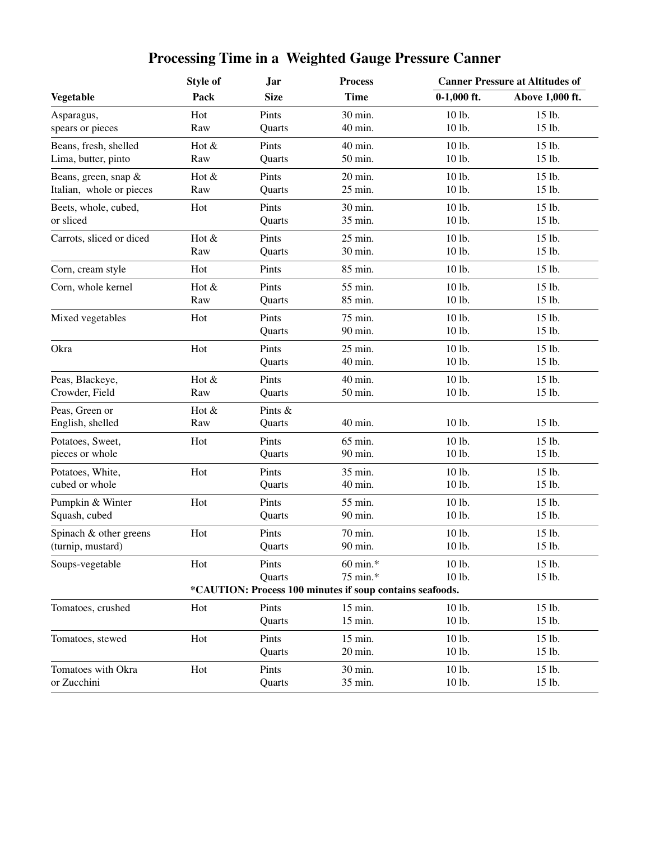|                          | <b>Style of</b> | <b>Jar</b>  | <b>Process</b>                                           |               | <b>Canner Pressure at Altitudes of</b> |  |  |
|--------------------------|-----------------|-------------|----------------------------------------------------------|---------------|----------------------------------------|--|--|
| <b>Vegetable</b>         | Pack            | <b>Size</b> | <b>Time</b>                                              | $0-1,000$ ft. | Above 1,000 ft.                        |  |  |
| Asparagus,               | Hot             | Pints       | 30 min.                                                  | 10 lb.        | 15 lb.                                 |  |  |
| spears or pieces         | Raw             | Quarts      | 40 min.                                                  | 10 lb.        | 15 lb.                                 |  |  |
| Beans, fresh, shelled    | Hot &           | Pints       | 40 min.                                                  | 10 lb.        | 15 lb.                                 |  |  |
| Lima, butter, pinto      | Raw             | Quarts      | 50 min.                                                  | 10 lb.        | 15 lb.                                 |  |  |
| Beans, green, snap &     | Hot &           | Pints       | 20 min.                                                  | 10 lb.        | 15 lb.                                 |  |  |
| Italian, whole or pieces | Raw             | Quarts      | 25 min.                                                  | 10 lb.        | 15 lb.                                 |  |  |
| Beets, whole, cubed,     | Hot             | Pints       | 30 min.                                                  | 10 lb.        | 15 lb.                                 |  |  |
| or sliced                |                 | Quarts      | 35 min.                                                  | 10 lb.        | 15 lb.                                 |  |  |
| Carrots, sliced or diced | Hot &           | Pints       | 25 min.                                                  | 10 lb.        | 15 lb.                                 |  |  |
|                          | Raw             | Quarts      | 30 min.                                                  | 10 lb.        | 15 lb.                                 |  |  |
| Corn, cream style        | Hot             | Pints       | 85 min.                                                  | 10 lb.        | 15 lb.                                 |  |  |
| Corn, whole kernel       | Hot &           | Pints       | 55 min.                                                  | 10 lb.        | 15 lb.                                 |  |  |
|                          | Raw             | Quarts      | 85 min.                                                  | 10 lb.        | 15 lb.                                 |  |  |
| Mixed vegetables         | Hot             | Pints       | 75 min.                                                  | 10 lb.        | 15 lb.                                 |  |  |
|                          |                 | Quarts      | 90 min.                                                  | 10 lb.        | 15 lb.                                 |  |  |
| Okra                     | Hot             | Pints       | 25 min.                                                  | 10 lb.        | 15 lb.                                 |  |  |
|                          |                 | Quarts      | 40 min.                                                  | 10 lb.        | 15 lb.                                 |  |  |
| Peas, Blackeye,          | Hot &           | Pints       | 40 min.                                                  | 10 lb.        | 15 lb.                                 |  |  |
| Crowder, Field           | Raw             | Quarts      | 50 min.                                                  | 10 lb.        | 15 lb.                                 |  |  |
| Peas, Green or           | Hot &           | Pints &     |                                                          |               |                                        |  |  |
| English, shelled         | Raw             | Quarts      | 40 min.                                                  | 10 lb.        | 15 lb.                                 |  |  |
| Potatoes, Sweet,         | Hot             | Pints       | 65 min.                                                  | 10 lb.        | 15 lb.                                 |  |  |
| pieces or whole          |                 | Quarts      | 90 min.                                                  | 10 lb.        | 15 lb.                                 |  |  |
| Potatoes, White,         | Hot             | Pints       | 35 min.                                                  | 10 lb.        | 15 lb.                                 |  |  |
| cubed or whole           |                 | Quarts      | 40 min.                                                  | 10 lb.        | 15 lb.                                 |  |  |
| Pumpkin & Winter         | Hot             | Pints       | 55 min.                                                  | 10 lb.        | 15 lb.                                 |  |  |
| Squash, cubed            |                 | Quarts      | 90 min.                                                  | 10 lb.        | 15 lb.                                 |  |  |
| Spinach & other greens   | Hot             | Pints       | 70 min.                                                  | 10 lb.        | 15 lb.                                 |  |  |
| (turnip, mustard)        |                 | Quarts      | 90 min.                                                  | 10 lb.        | 15 lb.                                 |  |  |
| Soups-vegetable          | Hot             | Pints       | 60 min.*                                                 | 10 lb.        | 15 lb.                                 |  |  |
|                          |                 | Quarts      | 75 min.*                                                 | 10 lb.        | 15 lb.                                 |  |  |
|                          |                 |             | *CAUTION: Process 100 minutes if soup contains seafoods. |               |                                        |  |  |
| Tomatoes, crushed        | Hot             | Pints       | 15 min.                                                  | 10 lb.        | 15 lb.                                 |  |  |
|                          |                 | Quarts      | 15 min.                                                  | 10 lb.        | 15 lb.                                 |  |  |
| Tomatoes, stewed         | Hot             | Pints       | 15 min.                                                  | 10 lb.        | 15 lb.                                 |  |  |
|                          |                 | Quarts      | 20 min.                                                  | 10 lb.        | 15 lb.                                 |  |  |
| Tomatoes with Okra       | Hot             | Pints       | 30 min.                                                  | 10 lb.        | 15 lb.                                 |  |  |
| or Zucchini              |                 | Quarts      | 35 min.                                                  | 10 lb.        | 15 lb.                                 |  |  |

# **Processing Time in a Weighted Gauge Pressure Canner**